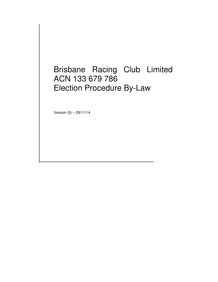# Brisbane Racing Club Limited ACN 133 679 786 Election Procedure By-Law

Version (5) – 28/11/14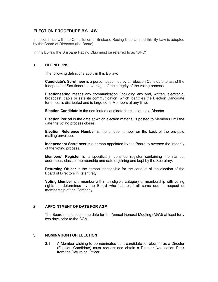## **ELECTION PROCEDURE BY-LAW**

In accordance with the Constitution of Brisbane Racing Club Limited this By-Law is adopted by the Board of Directors (the Board).

In this By-law the Brisbane Racing Club must be referred to as "BRC".

#### 1 **DEFINITIONS**

The following definitions apply in this By-law:

**Candidate's Scrutineer** is a person appointed by an Election Candidate to assist the Independent Scrutineer on oversight of the integrity of the voting process.

**Electioneering** means any communication (including any oral, written, electronic, broadcast, cable or satellite communication) which identifies the Election Candidate for office, is distributed and is targeted to Members at any time.

**Election Candidate** is the nominated candidate for election as a Director.

**Election Period** is the date at which election material is posted to Members until the date the voting process closes.

**Election Reference Number** is the unique number on the back of the pre-paid mailing envelope.

**Independent Scrutineer** is a person appointed by the Board to oversee the integrity of the voting process.

**Members' Register** is a specifically identified register containing the names, addresses, class of membership and date of joining and kept by the Secretary.

**Returning Officer** is the person responsible for the conduct of the election of the Board of Directors in its entirety.

**Voting Member** is a member within an eligible category of membership with voting rights as determined by the Board who has paid all sums due in respect of membership of the Company.

#### 2 **APPOINTMENT OF DATE FOR AGM**

The Board must appoint the date for the Annual General Meeting (AGM) at least forty two days prior to the AGM.

#### 3 **NOMINATION FOR ELECTION**

3.1 A Member wishing to be nominated as a candidate for election as a Director (Election Candidate) must request and obtain a Director Nomination Pack from the Returning Officer.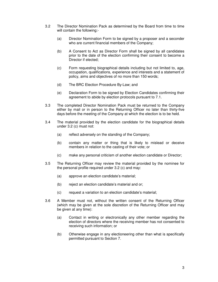- 3.2 The Director Nomination Pack as determined by the Board from time to time will contain the following:-
	- (a) Director Nomination Form to be signed by a proposer and a seconder who are current financial members of the Company;
	- (b) A Consent to Act as Director Form shall be signed by all candidates prior to the date of the election confirming their consent to become a Director if elected;
	- (c) Form requesting biographical details including but not limited to, age, occupation, qualifications, experience and interests and a statement of policy, aims and objectives of no more than 150 words;
	- (d) The BRC Election Procedure By-Law; and
	- (e) Declaration Form to be signed by Election Candidates confirming their agreement to abide by election protocols pursuant to 7.1.
- 3.3 The completed Director Nomination Pack must be returned to the Company either by mail or in person to the Returning Officer no later than thirty-five days before the meeting of the Company at which the election is to be held.
- 3.4 The material provided by the election candidate for the biographical details under 3.2 (c) must not:
	- (a) reflect adversely on the standing of the Company;
	- (b) contain any matter or thing that is likely to mislead or deceive members in relation to the casting of their vote; or
	- (c) make any personal criticism of another election candidate or Director;
- 3.5 The Returning Officer may review the material provided by the nominee for the personal profile required under 3.2 (c) and may:
	- (a) approve an election candidate's material;
	- (b) reject an election candidate's material and or;
	- (c) request a variation to an election candidate's material;
- 3.6 A Member must not, without the written consent of the Returning Officer (which may be given at the sole discretion of the Returning Officer and may be given at any time):
	- (a) Contact in writing or electronically any other member regarding the election of directors where the receiving member has not consented to receiving such information; or
	- (b) Otherwise engage in any electioneering other than what is specifically permitted pursuant to Section 7.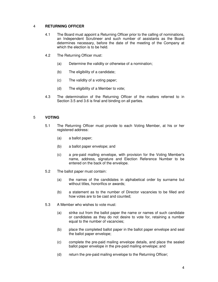## 4 **RETURNING OFFICER**

- 4.1 The Board must appoint a Returning Officer prior to the calling of nominations, an Independent Scrutineer and such number of assistants as the Board determines necessary, before the date of the meeting of the Company at which the election is to be held.
- 4.2 The Returning Officer must:
	- (a) Determine the validity or otherwise of a nomination;
	- (b) The eligibility of a candidate;
	- (c) The validity of a voting paper;
	- (d) The eligibility of a Member to vote;
- 4.3 The determination of the Returning Officer of the matters referred to in Section 3.5 and 3.6 is final and binding on all parties.

#### 5 **VOTING**

- 5.1 The Returning Officer must provide to each Voting Member, at his or her registered address:
	- (a) a ballot paper;
	- (b) a ballot paper envelope; and
	- (c) a pre-paid mailing envelope, with provision for the Voting Member's name, address, signature and Election Reference Number to be entered on the back of the envelope.
- 5.2 The ballot paper must contain:
	- (a) the names of the candidates in alphabetical order by surname but without titles, honorifics or awards;
	- (b) a statement as to the number of Director vacancies to be filled and how votes are to be cast and counted;
- 5.3 A Member who wishes to vote must:
	- (a) strike out from the ballot paper the name or names of such candidate or candidates as they do not desire to vote for, retaining a number equal to the number of vacancies;
	- (b) place the completed ballot paper in the ballot paper envelope and seal the ballot paper envelope;
	- (c) complete the pre-paid mailing envelope details, and place the sealed ballot paper envelope in the pre-paid mailing envelope; and
	- (d) return the pre-paid mailing envelope to the Returning Officer;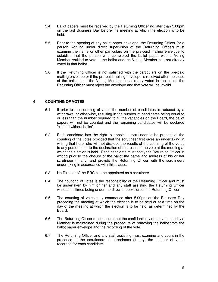- 5.4 Ballot papers must be received by the Returning Officer no later than 5.00pm on the last Business Day before the meeting at which the election is to be held.
- 5.5 Prior to the opening of any ballot paper envelope, the Returning Officer (or a person working under direct supervision of the Returning Officer) must examine the name or other particulars on the pre-paid mailing envelope to establish that the person who completed the ballot paper was a Voting Member entitled to vote in the ballot and the Voting Member has not already voted in that ballot.
- 5.6 If the Returning Officer is not satisfied with the particulars on the pre-paid mailing envelope or if the pre-paid mailing envelope is received after the close of the ballot, or if the Voting Member has already voted in the ballot, the Returning Officer must reject the envelope and that vote will be invalid.

## **6 COUNTING OF VOTES**

- 6.1 If prior to the counting of votes the number of candidates is reduced by a withdrawal or otherwise, resulting in the number of candidates being equal to or less than the number required to fill the vacancies on the Board, the ballot papers will not be counted and the remaining candidates will be declared 'elected without ballot'.
- 6.2 Each candidate has the right to appoint a scrutineer to be present at the counting of the votes provided that the scrutineer first gives an undertaking in writing that he or she will not disclose the results of the counting of the votes to any person prior to the declaration of the result of the vote at the meeting at which the election is held. Each candidate must notify the Returning Officer in writing prior to the closure of the ballot the name and address of his or her scrutineer (if any) and provide the Returning Officer with the scrutineers undertaking in accordance with this clause.
- 6.3 No Director of the BRC can be appointed as a scrutineer.
- 6.4 The counting of votes is the responsibility of the Returning Officer and must be undertaken by him or her and any staff assisting the Returning Officer while at all times being under the direct supervision of the Returning Officer.
- 6.5 The counting of votes may commence after 5.00pm on the Business Day preceding the meeting at which the election is to be held or at a time on the day of the meeting at which the election is to be held, as determined by the Board.
- 6.6 The Returning Officer must ensure that the confidentiality of the vote cast by a Member is maintained during the procedure of removing the ballot from the ballot paper envelope and the recording of the vote.
- 6.7 The Returning Officer and any staff assisting must examine and count in the presence of the scrutineers in attendance (if any) the number of votes recorded for each candidate.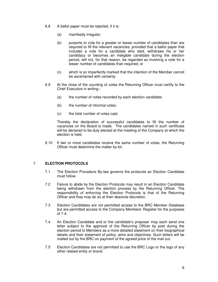- 6.8 A ballot paper must be rejected, if it is:
	- (a) manifestly irregular;
	- (b) purports to vote for a greater or lesser number of candidates than are required to fill the relevant vacancies, provided that a ballot paper that includes a vote for a candidate who died, withdraws his or her candidacy or becomes an ineligible candidate during the election period, will not, for that reason, be regarded as involving a vote for a lesser number of candidates than required; or
	- (c) which is so imperfectly marked that the intention of the Member cannot be ascertained with certainty
- 6.9 At the close of the counting of votes the Returning Officer must certify to the Chief Executive in writing:-
	- (a) the number of votes recorded by each election candidate;
	- (b) the number of informal votes;
	- (c) the total number of votes cast;

Thereby the declaration of successful candidates to fill the number of vacancies on the Board is made. The candidates named in such certificate will be declared to be duly elected at the meeting of the Company at which the election is held.

6.10 If two or more candidates receive the same number of votes, the Returning Officer must determine the matter by lot.

### 7 **ELECTION PROTOCOLS**

- 7.1 The Election Procedure By-law governs the protocols an Election Candidate must follow.
- 7.2 Failure to abide by the Election Protocols may result in an Election Candidate being withdrawn from the election process by the Returning Officer. The responsibility of enforcing the Election Protocols is that of the Returning Officer and they may do so at their absolute discretion.
- 7.3 Election Candidates are not permitted access to the BRC Member Database but are permitted access to the Company Members' Register for the purposes of 7.4.
- 7.4 An Election Candidate and or the candidate's proposer may each send one letter subject to the approval of the Returning Officer by post during the election period to Members as a more detailed statement on their biographical details and their statement of policy, aims and objectives. Such letters will be mailed out by the BRC on payment of the agreed price of the mail out.
- 7.5 Election Candidates are not permitted to use the BRC Logo or the logo of any other related entity or brand.